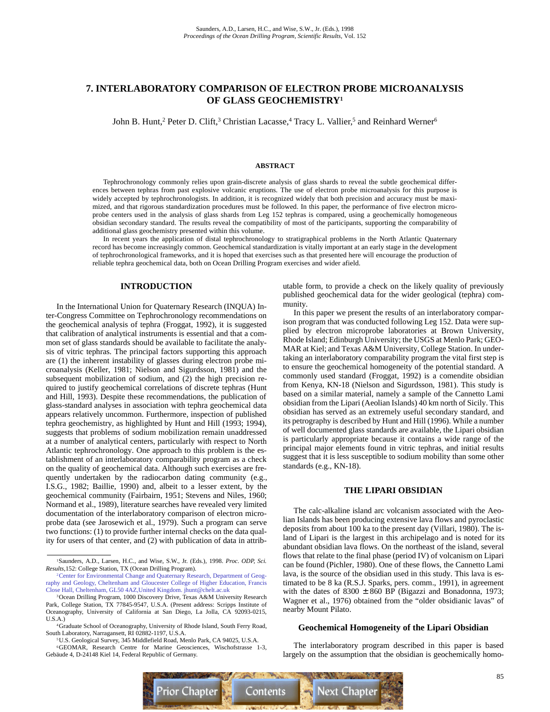# **7. INTERLABORATORY COMPARISON OF ELECTRON PROBE MICROANALYSIS OF GLASS GEOCHEMISTRY1**

John B. Hunt,<sup>2</sup> Peter D. Clift,<sup>3</sup> Christian Lacasse,<sup>4</sup> Tracy L. Vallier,<sup>5</sup> and Reinhard Werner<sup>6</sup>

### **ABSTRACT**

Tephrochronology commonly relies upon grain-discrete analysis of glass shards to reveal the subtle geochemical differences between tephras from past explosive volcanic eruptions. The use of electron probe microanalysis for this purpose is widely accepted by tephrochronologists. In addition, it is recognized widely that both precision and accuracy must be maximized, and that rigorous standardization procedures must be followed. In this paper, the performance of five electron microprobe centers used in the analysis of glass shards from Leg 152 tephras is compared, using a geochemically homogeneous obsidian secondary standard. The results reveal the compatibility of most of the participants, supporting the comparability of additional glass geochemistry presented within this volume.

In recent years the application of distal tephrochronology to stratigraphical problems in the North Atlantic Quaternary record has become increasingly common. Geochemical standardization is vitally important at an early stage in the development of tephrochronological frameworks, and it is hoped that exercises such as that presented here will encourage the production of reliable tephra geochemical data, both on Ocean Drilling Program exercises and wider afield.

## **INTRODUCTION**

In the International Union for Quaternary Research (INQUA) Inter-Congress Committee on Tephrochronology recommendations on the geochemical analysis of tephra (Froggat, 1992), it is suggested that calibration of analytical instruments is essential and that a common set of glass standards should be available to facilitate the analysis of vitric tephras. The principal factors supporting this approach are (1) the inherent instability of glasses during electron probe microanalysis (Keller, 1981; Nielson and Sigurdsson, 1981) and the subsequent mobilization of sodium, and (2) the high precision required to justify geochemical correlations of discrete tephras (Hunt and Hill, 1993). Despite these recommendations, the publication of glass-standard analyses in association with tephra geochemical data appears relatively uncommon. Furthermore, inspection of published tephra geochemistry, as highlighted by Hunt and Hill (1993; 1994), suggests that problems of sodium mobilization remain unaddressed at a number of analytical centers, particularly with respect to North Atlantic tephrochronology. One approach to this problem is the establishment of an interlaboratory comparability program as a check on the quality of geochemical data. Although such exercises are frequently undertaken by the radiocarbon dating community (e.g., I.S.G., 1982; Baillie, 1990) and, albeit to a lesser extent, by the geochemical community (Fairbairn, 1951; Stevens and Niles, 1960; Normand et al., 1989), literature searches have revealed very limited documentation of the interlaboratory comparison of electron microprobe data (see Jarosewich et al., 1979). Such a program can serve two functions: (1) to provide further internal checks on the data quality for users of that center, and (2) with publication of data in attributable form, to provide a check on the likely quality of previously published geochemical data for the wider geological (tephra) community.

In this paper we present the results of an interlaboratory comparison program that was conducted following Leg 152. Data were supplied by electron microprobe laboratories at Brown University, Rhode Island; Edinburgh University; the USGS at Menlo Park; GEO-MAR at Kiel; and Texas A&M University, College Station. In undertaking an interlaboratory comparability program the vital first step is to ensure the geochemical homogeneity of the potential standard. A commonly used standard (Froggat, 1992) is a comendite obsidian from Kenya, KN-18 (Nielson and Sigurdsson, 1981). This study is based on a similar material, namely a sample of the Cannetto Lami obsidian from the Lipari (Aeolian Islands) 40 km north of Sicily. This obsidian has served as an extremely useful secondary standard, and its petrography is described by Hunt and Hill (1996). While a number of well documented glass standards are available, the Lipari obsidian is particularly appropriate because it contains a wide range of the principal major elements found in vitric tephras, and initial results suggest that it is less susceptible to sodium mobility than some other standards (e.g., KN-18).

## **THE LIPARI OBSIDIAN**

The calc-alkaline island arc volcanism associated with the Aeolian Islands has been producing extensive lava flows and pyroclastic deposits from about 100 ka to the present day (Villari, 1980). The island of Lipari is the largest in this archipelago and is noted for its abundant obsidian lava flows. On the northeast of the island, several flows that relate to the final phase (period IV) of volcanism on Lipari can be found (Pichler, 1980). One of these flows, the Cannetto Lami lava, is the source of the obsidian used in this study. This lava is estimated to be 8 ka (R.S.J. Sparks, pers. comm., 1991), in agreement with the dates of  $8300 \pm 860$  BP (Bigazzi and Bonadonna, 1973; Wagner et al., 1976) obtained from the "older obsidianic lavas" of nearby Mount Pilato.

### **Geochemical Homogeneity of the Lipari Obsidian**

The interlaboratory program described in this paper is based largely on the assumption that the obsidian is geochemically homo-



<sup>1</sup>Saunders, A.D., Larsen, H.C., and Wise, S.W., Jr. (Eds.), 1998. *Proc. ODP, Sci. Results,*152: College Station, TX (Ocean Drilling Program).

<sup>2</sup>Center for Environmental Change and Quaternary Research, Department of Geog[raphy and Geology, Cheltenham and Gloucester College of Higher Education, Francis](mailto:jhunt@chelt.ac.uk) Close Hall, Cheltenham, GL50 4AZ,United Kingdom. jhunt@chelt.ac.uk

<sup>3</sup>Ocean Drilling Program, 1000 Discovery Drive, Texas A&M University Research Park, College Station, TX 77845-9547, U.S.A. (Present address: Scripps Institute of Oceanography, University of California at San Diego, La Jolla, CA 92093-0215, U.S.A.)

<sup>4</sup>Graduate School of Oceanography, University of Rhode Island, South Ferry Road, South Laboratory, Narragansett, RI 02882-1197, U.S.A.

<sup>5</sup>U.S. Geological Survey, 345 Middlefield Road, Menlo Park, CA 94025, U.S.A.

<sup>6</sup>GEOMAR, Research Centre for Marine Geosciences, Wischofstrasse 1-3, Gebäude 4, D-24148 Kiel 14, Federal Republic of Germany.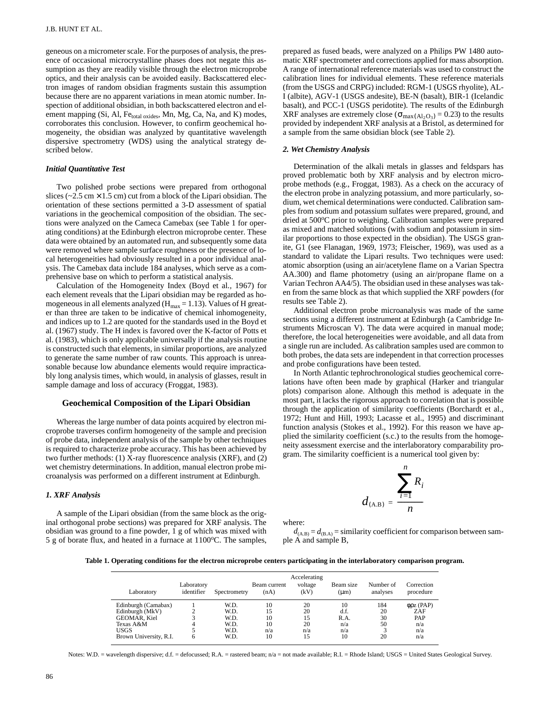geneous on a micrometer scale. For the purposes of analysis, the presence of occasional microcrystalline phases does not negate this assumption as they are readily visible through the electron microprobe optics, and their analysis can be avoided easily. Backscattered electron images of random obsidian fragments sustain this assumption because there are no apparent variations in mean atomic number. Inspection of additional obsidian, in both backscattered electron and element mapping (Si, Al, Fetotal oxides, Mn, Mg, Ca, Na, and K) modes, corroborates this conclusion. However, to confirm geochemical homogeneity, the obsidian was analyzed by quantitative wavelength dispersive spectrometry (WDS) using the analytical strategy described below.

### *Initial Quantitative Test*

Two polished probe sections were prepared from orthogonal slices ( $\approx$  2.5 cm  $\times$  1.5 cm) cut from a block of the Lipari obsidian. The orientation of these sections permitted a 3-D assessment of spatial variations in the geochemical composition of the obsidian. The sections were analyzed on the Cameca Camebax (see Table 1 for operating conditions) at the Edinburgh electron microprobe center. These data were obtained by an automated run, and subsequently some data were removed where sample surface roughness or the presence of local heterogeneities had obviously resulted in a poor individual analysis. The Camebax data include 184 analyses, which serve as a comprehensive base on which to perform a statistical analysis.

Calculation of the Homogeneity Index (Boyd et al*.,* 1967) for each element reveals that the Lipari obsidian may be regarded as homogeneous in all elements analyzed ( $H_{max} = 1.13$ ). Values of H greater than three are taken to be indicative of chemical inhomogeneity, and indices up to 1.2 are quoted for the standards used in the Boyd et al. (1967) study. The H index is favored over the K-factor of Potts et al. (1983), which is only applicable universally if the analysis routine is constructed such that elements, in similar proportions, are analyzed to generate the same number of raw counts. This approach is unreasonable because low abundance elements would require impracticably long analysis times, which would, in analysis of glasses, result in sample damage and loss of accuracy (Froggat, 1983).

#### **Geochemical Composition of the Lipari Obsidian**

Whereas the large number of data points acquired by electron microprobe traverses confirm homogeneity of the sample and precision of probe data, independent analysis of the sample by other techniques is required to characterize probe accuracy. This has been achieved by two further methods: (1) X-ray fluorescence analysis (XRF), and (2) wet chemistry determinations. In addition, manual electron probe microanalysis was performed on a different instrument at Edinburgh.

#### *1. XRF Analysis*

A sample of the Lipari obsidian (from the same block as the original orthogonal probe sections) was prepared for XRF analysis. The obsidian was ground to a fine powder, 1 g of which was mixed with 5 g of borate flux, and heated in a furnace at  $1100^{\circ}$ C. The samples, prepared as fused beads, were analyzed on a Philips PW 1480 automatic XRF spectrometer and corrections applied for mass absorption. A range of international reference materials was used to construct the calibration lines for individual elements. These reference materials (from the USGS and CRPG) included: RGM-1 (USGS rhyolite), AL-I (albite), AGV-1 (USGS andesite), BE-N (basalt), BIR-1 (Icelandic basalt), and PCC-1 (USGS peridotite). The results of the Edinburgh XRF analyses are extremely close ( $\sigma_{\text{max}(Al_2O_3)} = 0.23$ ) to the results provided by independent XRF analysis at a Bristol, as determined for a sample from the same obsidian block (see Table 2).

#### *2. Wet Chemistry Analysis*

Determination of the alkali metals in glasses and feldspars has proved problematic both by XRF analysis and by electron microprobe methods (e.g., Froggat, 1983). As a check on the accuracy of the electron probe in analyzing potassium, and more particularly, sodium, wet chemical determinations were conducted. Calibration samples from sodium and potassium sulfates were prepared, ground, and dried at 500°C prior to weighing. Calibration samples were prepared as mixed and matched solutions (with sodium and potassium in similar proportions to those expected in the obsidian). The USGS granite, G1 (see Flanagan, 1969, 1973; Fleischer, 1969), was used as a standard to validate the Lipari results. Two techniques were used: atomic absorption (using an air/acetylene flame on a Varian Spectra AA.300) and flame photometry (using an air/propane flame on a Varian Techron AA4/5). The obsidian used in these analyses was taken from the same block as that which supplied the XRF powders (for results see Table 2).

Additional electron probe microanalysis was made of the same sections using a different instrument at Edinburgh (a Cambridge Instruments Microscan V). The data were acquired in manual mode; therefore, the local heterogeneities were avoidable, and all data from a single run are included. As calibration samples used are common to both probes, the data sets are independent in that correction processes and probe configurations have been tested.

In North Atlantic tephrochronological studies geochemical correlations have often been made by graphical (Harker and triangular plots) comparison alone. Although this method is adequate in the most part, it lacks the rigorous approach to correlation that is possible through the application of similarity coefficients (Borchardt et al., 1972; Hunt and Hill, 1993; Lacasse et al., 1995) and discriminant function analysis (Stokes et al., 1992). For this reason we have applied the similarity coefficient (s.c.) to the results from the homogeneity assessment exercise and the interlaboratory comparability program. The similarity coefficient is a numerical tool given by:

$$
d_{\text{(A.B)}} = \frac{\sum_{i=1}^{n} R_i}{n}
$$

where:

 $d_{(A,B)} = d_{(B,A)} =$  similarity coefficient for comparison between sample A and sample B,

**Table 1. Operating conditions for the electron microprobe centers participating in the interlaboratory comparison program.**

| Laboratory                     | Laboratory<br>identifier | Spectrometry | Beam current<br>(nA) | Accelerating<br>voltage<br>(kV) | Beam size<br>$(\mu m)$ | Number of<br>analyses | Correction<br>procedure    |
|--------------------------------|--------------------------|--------------|----------------------|---------------------------------|------------------------|-----------------------|----------------------------|
| Edinburgh (Camabax)            |                          | W.D.         | 10                   | 20                              | 10                     | 184                   | $\phi$ <sub>pz</sub> (PAP) |
| Edinburgh (MkV)                |                          | W.D.         | 15                   | 20                              | d.f.                   | 20                    | <b>ZAF</b>                 |
| GEOMAR, Kiel                   | 4                        | W.D.         | 10                   | 15                              | R.A.                   | 30                    | <b>PAP</b>                 |
| Texas A&M                      |                          | W.D.         | 10                   | 20                              | n/a                    | 50                    | n/a                        |
| USGS<br>Brown University, R.I. | 6                        | W.D.<br>W.D. | n/a<br>10            | n/a<br>15                       | n/a<br>10              | 20                    | n/a<br>n/a                 |

Notes: W.D. = wavelength dispersive; d.f. = defocussed; R.A. = rastered beam; n/a = not made available; R.I. = Rhode Island; USGS = United States Geological Survey.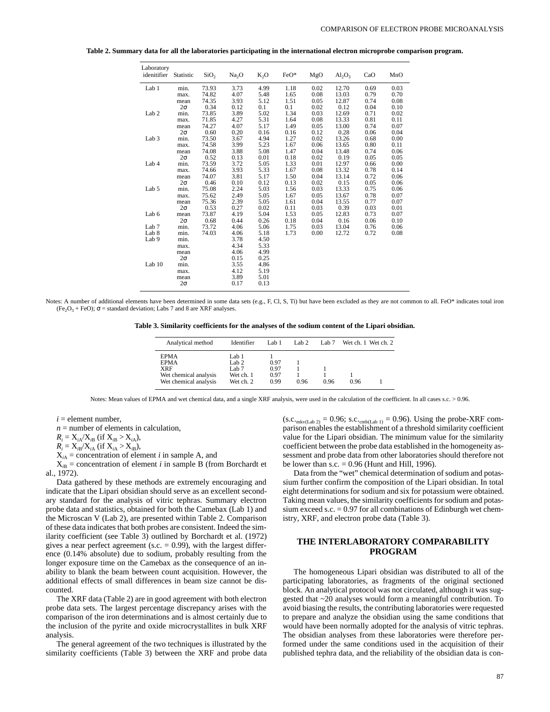| Laboratory       |           |                  |                   |        |      |      |           |      |      |
|------------------|-----------|------------------|-------------------|--------|------|------|-----------|------|------|
| idenitifier      | Statistic | SiO <sub>2</sub> | Na <sub>2</sub> O | $K_2O$ | FeO* | MgO  | $Al_2O_3$ | CaO  | MnO  |
| Lab 1            | min.      | 73.93            | 3.73              | 4.99   | 1.18 | 0.02 | 12.70     | 0.69 | 0.03 |
|                  | max.      | 74.82            | 4.07              | 5.48   | 1.65 | 0.08 | 13.03     | 0.79 | 0.70 |
|                  | mean      | 74.35            | 3.93              | 5.12   | 1.51 | 0.05 | 12.87     | 0.74 | 0.08 |
|                  | $2\sigma$ | 0.34             | 0.12              | 0.1    | 0.1  | 0.02 | 0.12      | 0.04 | 0.10 |
| Lab <sub>2</sub> | min.      | 73.85            | 3.89              | 5.02   | 1.34 | 0.03 | 12.69     | 0.71 | 0.02 |
|                  | max.      | 71.85            | 4.27              | 5.31   | 1.64 | 0.08 | 13.33     | 0.81 | 0.11 |
|                  | mean      | 74.27            | 4.07              | 5.17   | 1.49 | 0.05 | 13.00     | 0.74 | 0.07 |
|                  | $2\sigma$ | 0.60             | 0.20              | 0.16   | 0.16 | 0.12 | 0.28      | 0.06 | 0.04 |
| Lab <sub>3</sub> | min.      | 73.50            | 3.67              | 4.94   | 1.27 | 0.02 | 13.26     | 0.68 | 0.00 |
|                  | max.      | 74.58            | 3.99              | 5.23   | 1.67 | 0.06 | 13.65     | 0.80 | 0.11 |
|                  | mean      | 74.08            | 3.88              | 5.08   | 1.47 | 0.04 | 13.48     | 0.74 | 0.06 |
|                  | $2\sigma$ | 0.52             | 0.13              | 0.01   | 0.18 | 0.02 | 0.19      | 0.05 | 0.05 |
| Lab 4            | min.      | 73.59            | 3.72              | 5.05   | 1.33 | 0.01 | 12.97     | 0.66 | 0.00 |
|                  | max.      | 74.66            | 3.93              | 5.33   | 1.67 | 0.08 | 13.32     | 0.78 | 0.14 |
|                  | mean      | 74.07            | 3.81              | 5.17   | 1.50 | 0.04 | 13.14     | 0.72 | 0.06 |
|                  | $2\sigma$ | 0.46             | 0.10              | 0.12   | 0.13 | 0.02 | 0.15      | 0.05 | 0.06 |
| Lab 5            | min.      | 75.08            | 2.24              | 5.03   | 1.56 | 0.03 | 13.33     | 0.75 | 0.06 |
|                  | max.      | 75.62            | 2.49              | 5.05   | 1.67 | 0.05 | 13.67     | 0.78 | 0.07 |
|                  | mean      | 75.36            | 2.39              | 5.05   | 1.61 | 0.04 | 13.55     | 0.77 | 0.07 |
|                  | $2\sigma$ | 0.53             | 0.27              | 0.02   | 0.11 | 0.03 | 0.39      | 0.03 | 0.01 |
| Lab 6            | mean      | 73.87            | 4.19              | 5.04   | 1.53 | 0.05 | 12.83     | 0.73 | 0.07 |
|                  | $2\sigma$ | 0.68             | 0.44              | 0.26   | 0.18 | 0.04 | 0.16      | 0.06 | 0.10 |
| Lab <sub>7</sub> | min.      | 73.72            | 4.06              | 5.06   | 1.75 | 0.03 | 13.04     | 0.76 | 0.06 |
| Lab 8            | min.      | 74.03            | 4.06              | 5.18   | 1.73 | 0.00 | 12.72     | 0.72 | 0.08 |
| Lab 9            | min.      |                  | 3.78              | 4.50   |      |      |           |      |      |
|                  | max.      |                  | 4.34              | 5.33   |      |      |           |      |      |
|                  | mean      |                  | 4.06              | 4.99   |      |      |           |      |      |
|                  | $2\sigma$ |                  | 0.15              | 0.25   |      |      |           |      |      |
| Lab $10$         | min.      |                  | 3.55              | 4.86   |      |      |           |      |      |
|                  | max.      |                  | 4.12              | 5.19   |      |      |           |      |      |
|                  | mean      |                  | 3.89              | 5.01   |      |      |           |      |      |
|                  | $2\sigma$ |                  | 0.17              | 0.13   |      |      |           |      |      |

**Table 2. Summary data for all the laboratories participating in the international electron microprobe comparison program.**

Notes: A number of additional elements have been determined in some data sets (e.g., F, Cl, S, Ti) but have been excluded as they are not common to all. FeO\* indicates total iron  $(Fe<sub>2</sub>O<sub>3</sub> + FeO)$ ;  $\sigma$  = standard deviation; Labs 7 and 8 are XRF analyses.

**Table 3. Similarity coefficients for the analyses of the sodium content of the Lipari obsidian.**

| Analytical method                                                                          | Identifier                                                              | Lab 1                        | Lab $2$ | Lab $7$ | Wet ch. 1 Wet ch. 2 |
|--------------------------------------------------------------------------------------------|-------------------------------------------------------------------------|------------------------------|---------|---------|---------------------|
| <b>EPMA</b><br><b>EPMA</b><br><b>XRF</b><br>Wet chemical analysis<br>Wet chemical analysis | Lab 1<br>Lab <sub>2</sub><br>Lab <sub>7</sub><br>Wet ch. 1<br>Wet ch. 2 | 0.97<br>0.97<br>0.97<br>0.99 | 0.96    | 0.96    | 0.96                |

Notes: Mean values of EPMA and wet chemical data, and a single XRF analysis, were used in the calculation of the coefficient. In all cases s.c. > 0.96.

 $i =$  element number,

 $n =$  number of elements in calculation,

 $R_i = X_{iA}/X_{iB}$  (if  $X_{iB} > X_{iA}$ ),

 $R_i = X_{iB}/X_{iA}$  (if  $X_{iA} > X_{iB}$ ),

 $X_{iA}$  = concentration of element *i* in sample A, and

 $X_{iB}$  = concentration of element *i* in sample B (from Borchardt et al., 1972).

Data gathered by these methods are extremely encouraging and indicate that the Lipari obsidian should serve as an excellent secondary standard for the analysis of vitric tephras. Summary electron probe data and statistics, obtained for both the Camebax (Lab 1) and the Microscan V (Lab 2), are presented within Table 2. Comparison of these data indicates that both probes are consistent. Indeed the similarity coefficient (see Table 3) outlined by Borchardt et al. (1972) gives a near perfect agreement (s.c.  $= 0.99$ ), with the largest difference (0.14% absolute) due to sodium, probably resulting from the longer exposure time on the Camebax as the consequence of an inability to blank the beam between count acquisition. However, the additional effects of small differences in beam size cannot be discounted.

The XRF data (Table 2) are in good agreement with both electron probe data sets. The largest percentage discrepancy arises with the comparison of the iron determinations and is almost certainly due to the inclusion of the pyrite and oxide microcrystallites in bulk XRF analysis.

The general agreement of the two techniques is illustrated by the similarity coefficients (Table 3) between the XRF and probe data  $(s.c._{\text{mkv}(\text{Lab } 2)} = 0.96$ ; s.c.<sub>cmb(Lab 1)</sub> = 0.96). Using the probe-XRF comparison enables the establishment of a threshold similarity coefficient value for the Lipari obsidian. The minimum value for the similarity coefficient between the probe data established in the homogeneity assessment and probe data from other laboratories should therefore not be lower than s.c.  $= 0.96$  (Hunt and Hill, 1996).

Data from the "wet" chemical determination of sodium and potassium further confirm the composition of the Lipari obsidian. In total eight determinations for sodium and six for potassium were obtained. Taking mean values, the similarity coefficients for sodium and potassium exceed s.c.  $= 0.97$  for all combinations of Edinburgh wet chemistry, XRF, and electron probe data (Table 3).

## **THE INTERLABORATORY COMPARABILITY PROGRAM**

The homogeneous Lipari obsidian was distributed to all of the participating laboratories, as fragments of the original sectioned block. An analytical protocol was not circulated, although it was suggested that ~20 analyses would form a meaningful contribution. To avoid biasing the results, the contributing laboratories were requested to prepare and analyze the obsidian using the same conditions that would have been normally adopted for the analysis of vitric tephras. The obsidian analyses from these laboratories were therefore performed under the same conditions used in the acquisition of their published tephra data, and the reliability of the obsidian data is con-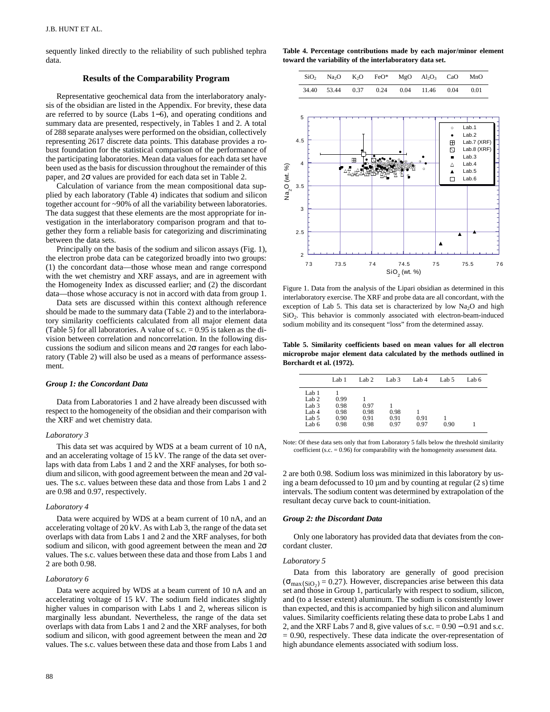sequently linked directly to the reliability of such published tephra data.

## **Results of the Comparability Program**

Representative geochemical data from the interlaboratory analysis of the obsidian are listed in the Appendix. For brevity, these data are referred to by source (Labs 1−6), and operating conditions and summary data are presented, respectively, in Tables 1 and 2. A total of 288 separate analyses were performed on the obsidian, collectively representing 2617 discrete data points. This database provides a robust foundation for the statistical comparison of the performance of the participating laboratories. Mean data values for each data set have been used as the basis for discussion throughout the remainder of this paper, and 2σ values are provided for each data set in Table 2.

Calculation of variance from the mean compositional data supplied by each laboratory (Table 4) indicates that sodium and silicon together account for ~90% of all the variability between laboratories. The data suggest that these elements are the most appropriate for investigation in the interlaboratory comparison program and that together they form a reliable basis for categorizing and discriminating between the data sets.

Principally on the basis of the sodium and silicon assays (Fig. 1), the electron probe data can be categorized broadly into two groups: (1) the concordant data—those whose mean and range correspond with the wet chemistry and XRF assays, and are in agreement with the Homogeneity Index as discussed earlier; and (2) the discordant data—those whose accuracy is not in accord with data from group 1.

Data sets are discussed within this context although reference should be made to the summary data (Table 2) and to the interlaboratory similarity coefficients calculated from all major element data (Table 5) for all laboratories. A value of s.c.  $= 0.95$  is taken as the division between correlation and noncorrelation. In the following discussions the sodium and silicon means and 2σ ranges for each laboratory (Table 2) will also be used as a means of performance assessment.

### *Group 1: the Concordant Data*

Data from Laboratories 1 and 2 have already been discussed with respect to the homogeneity of the obsidian and their comparison with the XRF and wet chemistry data.

#### *Laboratory 3*

This data set was acquired by WDS at a beam current of 10 nA, and an accelerating voltage of 15 kV. The range of the data set overlaps with data from Labs 1 and 2 and the XRF analyses, for both sodium and silicon, with good agreement between the mean and  $2\sigma$  values. The s.c. values between these data and those from Labs 1 and 2 are 0.98 and 0.97, respectively.

#### *Laboratory 4*

Data were acquired by WDS at a beam current of 10 nA, and an accelerating voltage of 20 kV. As with Lab 3, the range of the data set overlaps with data from Labs 1 and 2 and the XRF analyses, for both sodium and silicon, with good agreement between the mean and 2σ values. The s.c. values between these data and those from Labs 1 and 2 are both 0.98.

#### *Laboratory 6*

Data were acquired by WDS at a beam current of 10 nA and an accelerating voltage of 15 kV. The sodium field indicates slightly higher values in comparison with Labs 1 and 2, whereas silicon is marginally less abundant. Nevertheless, the range of the data set overlaps with data from Labs 1 and 2 and the XRF analyses, for both sodium and silicon, with good agreement between the mean and  $2\sigma$ values. The s.c. values between these data and those from Labs 1 and

|  |  | $SiO_2$ Na <sub>2</sub> O K <sub>2</sub> O FeO* MgO Al <sub>2</sub> O <sub>3</sub> CaO MnO |      |
|--|--|--------------------------------------------------------------------------------------------|------|
|  |  | 34.40 53.44 0.37 0.24 0.04 11.46 0.04                                                      | 0.01 |



Figure 1. Data from the analysis of the Lipari obsidian as determined in this interlaboratory exercise. The XRF and probe data are all concordant, with the exception of Lab 5. This data set is characterized by low  $Na<sub>2</sub>O$  and high  $SiO<sub>2</sub>$ . This behavior is commonly associated with electron-beam-induced sodium mobility and its consequent "loss" from the determined assay.

**Table 5. Similarity coefficients based on mean values for all electron microprobe major element data calculated by the methods outlined in Borchardt et al. (1972).** 

|                  | Lab 1 | Lab <sub>2</sub> | Lab <sub>3</sub> | Lab 4 | Lab 5 | Lab 6 |
|------------------|-------|------------------|------------------|-------|-------|-------|
| Lab 1            |       |                  |                  |       |       |       |
| Lab <sub>2</sub> | 0.99  |                  |                  |       |       |       |
| Lab <sub>3</sub> | 0.98  | 0.97             |                  |       |       |       |
| Lab 4            | 0.98  | 0.98             | 0.98             |       |       |       |
| Lab 5            | 0.90  | 0.91             | 0.91             | 0.91  |       |       |
| Lab 6            | 0.98  | 0.98             | 0.97             | 0.97  | 0.90  |       |

Note: Of these data sets only that from Laboratory 5 falls below the threshold similarity coefficient (s.c.  $= 0.96$ ) for comparability with the homogeneity assessment data

2 are both 0.98. Sodium loss was minimized in this laboratory by using a beam defocussed to  $10 \mu m$  and by counting at regular  $(2 s)$  time intervals. The sodium content was determined by extrapolation of the resultant decay curve back to count-initiation.

#### *Group 2: the Discordant Data*

Only one laboratory has provided data that deviates from the concordant cluster.

#### *Laboratory 5*

Data from this laboratory are generally of good precision  $(\sigma_{\text{max}(SiO_2)} = 0.27)$ . However, discrepancies arise between this data set and those in Group 1, particularly with respect to sodium, silicon, and (to a lesser extent) aluminum. The sodium is consistently lower than expected, and this is accompanied by high silicon and aluminum values. Similarity coefficients relating these data to probe Labs 1 and 2, and the XRF Labs 7 and 8, give values of s.c. = 0.90 − 0.91 and s.c.  $= 0.90$ , respectively. These data indicate the over-representation of high abundance elements associated with sodium loss.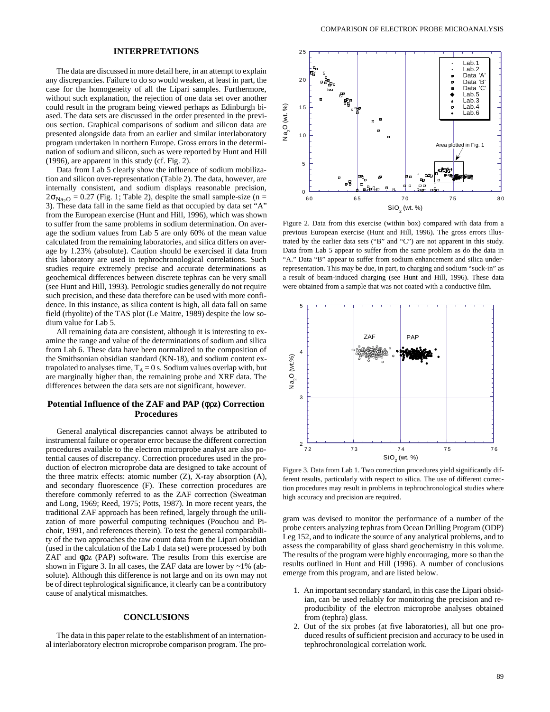The data are discussed in more detail here, in an attempt to explain any discrepancies. Failure to do so would weaken, at least in part, the case for the homogeneity of all the Lipari samples. Furthermore, without such explanation, the rejection of one data set over another could result in the program being viewed perhaps as Edinburgh biased. The data sets are discussed in the order presented in the previous section. Graphical comparisons of sodium and silicon data are presented alongside data from an earlier and similar interlaboratory program undertaken in northern Europe. Gross errors in the determination of sodium and silicon, such as were reported by Hunt and Hill (1996), are apparent in this study (cf. Fig. 2).

Data from Lab 5 clearly show the influence of sodium mobilization and silicon over-representation (Table 2). The data, however, are internally consistent, and sodium displays reasonable precision,  $2\sigma_{\text{Na}_2\text{O}} = 0.27$  (Fig. 1; Table 2), despite the small sample-size (n = 3). These data fall in the same field as that occupied by data set "A" from the European exercise (Hunt and Hill, 1996), which was shown to suffer from the same problems in sodium determination. On average the sodium values from Lab 5 are only 60% of the mean value calculated from the remaining laboratories, and silica differs on average by 1.23% (absolute). Caution should be exercised if data from this laboratory are used in tephrochronological correlations. Such studies require extremely precise and accurate determinations as geochemical differences between discrete tephras can be very small (see Hunt and Hill, 1993). Petrologic studies generally do not require such precision, and these data therefore can be used with more confidence. In this instance, as silica content is high, all data fall on same field (rhyolite) of the TAS plot (Le Maitre, 1989) despite the low sodium value for Lab 5.

All remaining data are consistent, although it is interesting to examine the range and value of the determinations of sodium and silica from Lab 6. These data have been normalized to the composition of the Smithsonian obsidian standard (KN-18), and sodium content extrapolated to analyses time,  $T_A = 0$  s. Sodium values overlap with, but are marginally higher than, the remaining probe and XRF data. The differences between the data sets are not significant, however.

## **Potential Influence of the ZAF and PAP (**φρ**z) Correction Procedures**

General analytical discrepancies cannot always be attributed to instrumental failure or operator error because the different correction procedures available to the electron microprobe analyst are also potential causes of discrepancy. Correction procedures used in the production of electron microprobe data are designed to take account of the three matrix effects: atomic number  $(Z)$ , X-ray absorption  $(A)$ , and secondary fluorescence (F). These correction procedures are therefore commonly referred to as the ZAF correction (Sweatman and Long, 1969; Reed, 1975; Potts, 1987). In more recent years, the traditional ZAF approach has been refined, largely through the utilization of more powerful computing techniques (Pouchou and Pichoir, 1991, and references therein). To test the general comparability of the two approaches the raw count data from the Lipari obsidian (used in the calculation of the Lab 1 data set) were processed by both ZAF and φρz (PAP) software. The results from this exercise are shown in Figure 3. In all cases, the ZAF data are lower by  $\sim$ 1% (absolute). Although this difference is not large and on its own may not be of direct tephrological significance, it clearly can be a contributory cause of analytical mismatches.

## **CONCLUSIONS**

The data in this paper relate to the establishment of an international interlaboratory electron microprobe comparison program. The pro-



Figure 2. Data from this exercise (within box) compared with data from a previous European exercise (Hunt and Hill, 1996). The gross errors illustrated by the earlier data sets ("B" and "C") are not apparent in this study. Data from Lab 5 appear to suffer from the same problem as do the data in "A." Data "B" appear to suffer from sodium enhancement and silica underrepresentation. This may be due, in part, to charging and sodium "suck-in" as a result of beam-induced charging (see Hunt and Hill, 1996). These data were obtained from a sample that was not coated with a conductive film.



Figure 3. Data from Lab 1. Two correction procedures yield significantly different results, particularly with respect to silica. The use of different correction procedures may result in problems in tephrochronological studies where high accuracy and precision are required.

gram was devised to monitor the performance of a number of the probe centers analyzing tephras from Ocean Drilling Program (ODP) Leg 152, and to indicate the source of any analytical problems, and to assess the comparability of glass shard geochemistry in this volume. The results of the program were highly encouraging, more so than the results outlined in Hunt and Hill (1996). A number of conclusions emerge from this program, and are listed below.

- 1. An important secondary standard, in this case the Lipari obsidian, can be used reliably for monitoring the precision and reproducibility of the electron microprobe analyses obtained from (tephra) glass.
- 2. Out of the six probes (at five laboratories), all but one produced results of sufficient precision and accuracy to be used in tephrochronological correlation work.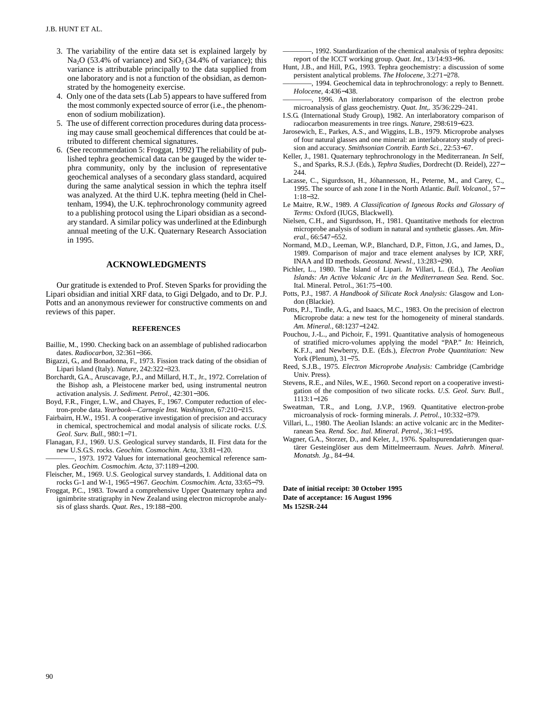- 3. The variability of the entire data set is explained largely by Na<sub>2</sub>O (53.4% of variance) and  $SiO<sub>2</sub>$  (34.4% of variance); this variance is attributable principally to the data supplied from one laboratory and is not a function of the obsidian, as demonstrated by the homogeneity exercise.
- 4. Only one of the data sets (Lab 5) appears to have suffered from the most commonly expected source of error (i.e., the phenomenon of sodium mobilization).
- 5. The use of different correction procedures during data processing may cause small geochemical differences that could be attributed to different chemical signatures.
- 6. (See recommendation 5: Froggat, 1992) The reliability of published tephra geochemical data can be gauged by the wider tephra community, only by the inclusion of representative geochemical analyses of a secondary glass standard, acquired during the same analytical session in which the tephra itself was analyzed. At the third U.K. tephra meeting (held in Cheltenham, 1994), the U.K. tephrochronology community agreed to a publishing protocol using the Lipari obsidian as a secondary standard. A similar policy was underlined at the Edinburgh annual meeting of the U.K. Quaternary Research Association in 1995.

## **ACKNOWLEDGMENTS**

Our gratitude is extended to Prof. Steven Sparks for providing the Lipari obsidian and initial XRF data, to Gigi Delgado, and to Dr. P.J. Potts and an anonymous reviewer for constructive comments on and reviews of this paper.

#### **REFERENCES**

- Baillie, M., 1990. Checking back on an assemblage of published radiocarbon dates. *Radiocarbon,* 32:361−366.
- Bigazzi, G., and Bonadonna, F., 1973. Fission track dating of the obsidian of Lipari Island (Italy). *Nature,* 242:322−323.
- Borchardt, G.A., Aruscavage, P.J., and Millard, H.T., Jr., 1972. Correlation of the Bishop ash, a Pleistocene marker bed, using instrumental neutron activation analysis. *J. Sediment. Petrol.,* 42:301−306.
- Boyd, F.R., Finger, L.W., and Chayes, F., 1967. Computer reduction of electron-probe data. *Yearbook—Carnegie Inst. Washington,* 67:210−215.
- Fairbairn, H.W., 1951. A cooperative investigation of precision and accuracy in chemical, spectrochemical and modal analysis of silicate rocks. *U.S. Geol. Surv. Bull.,* 980:1−71.
- Flanagan, F.J., 1969. U.S. Geological survey standards, II. First data for the new U.S.G.S. rocks. *Geochim. Cosmochim. Acta,* 33:81−120.
	- -, 1973. 1972 Values for international geochemical reference samples. *Geochim. Cosmochim. Acta,* 37:1189−1200.
- Fleischer, M., 1969. U.S. Geological survey standards, I. Additional data on rocks G-1 and W-1, 1965−1967. *Geochim. Cosmochim. Acta,* 33:65−79.
- Froggat, P.C., 1983. Toward a comprehensive Upper Quaternary tephra and ignimbrite stratigraphy in New Zealand using electron microprobe analysis of glass shards. *Quat. Res.*, 19:188−200.

-, 1992. Standardization of the chemical analysis of tephra deposits: report of the ICCT working group. *Quat. Int.,* 13/14:93−96.

- Hunt, J.B., and Hill, P.G., 1993. Tephra geochemistry: a discussion of some persistent analytical problems. *The Holocene,* 3:271−278.
- -, 1994. Geochemical data in tephrochronology: a reply to Bennett. *Holocene,* 4:436−438.
- -, 1996. An interlaboratory comparison of the electron probe microanalysis of glass geochemistry. *Quat. Int,.* 35/36:229–241.
- I.S.G. (International Study Group), 1982. An interlaboratory comparison of radiocarbon measurements in tree rings. *Nature,* 298:619−623.
- Jarosewich, E., Parkes, A.S., and Wiggins, L.B., 1979. Microprobe analyses of four natural glasses and one mineral: an interlaboratory study of precision and accuracy. *Smithsonian Contrib. Earth Sci.,* 22:53−67.
- Keller, J., 1981. Quaternary tephrochronology in the Mediterranean. *In* Self, S., and Sparks, R.S.J. (Eds.), *Tephra Studies,* Dordrecht (D. Reidel), 227− 244.
- Lacasse, C., Sigurdsson, H., Jóhannesson, H., Peterne, M., and Carey, C., 1995. The source of ash zone I in the North Atlantic. *Bull. Volcanol.,* 57− 1:18−32.
- Le Maitre, R.W., 1989. *A Classification of Igneous Rocks and Glossary of Terms:* Oxford (IUGS, Blackwell).
- Nielsen, C.H., and Sigurdsson, H., 1981. Quantitative methods for electron microprobe analysis of sodium in natural and synthetic glasses. *Am. Mineral.,* 66:547−552.
- Normand, M.D., Leeman, W.P., Blanchard, D.P., Fitton, J.G., and James, D., 1989. Comparison of major and trace element analyses by ICP, XRF, INAA and ID methods. *Geostand. Newsl.,* 13:283−290.
- Pichler, L., 1980. The Island of Lipari. *In* Villari, L. (Ed.), *The Aeolian Islands: An Active Volcanic Arc in the Mediterranean Sea.* Rend. Soc. Ital. Mineral. Petrol., 361:75−100.
- Potts, P.J., 1987. *A Handbook of Silicate Rock Analysis:* Glasgow and London (Blackie).
- Potts, P.J., Tindle, A.G., and Isaacs, M.C., 1983. On the precision of electron Microprobe data: a new test for the homogeneity of mineral standards. *Am. Mineral.,* 68:1237−1242.
- Pouchou, J.-L., and Pichoir, F., 1991. Quantitative analysis of homogeneous of stratified micro-volumes applying the model "PAP." *In:* Heinrich, K.F.J., and Newberry, D.E. (Eds.), *Electron Probe Quantitation:* New York (Plenum), 31−75.
- Reed, S.J.B., 1975. *Electron Microprobe Analysis:* Cambridge (Cambridge Univ. Press).
- Stevens, R.E., and Niles, W.E., 1960. Second report on a cooperative investigation of the composition of two silicate rocks. *U.S. Geol. Surv. Bull.,* 1113:1−126
- Sweatman, T.R., and Long, J.V.P., 1969. Quantitative electron-probe microanalysis of rock- forming minerals. *J. Petrol.,* 10:332−379.
- Villari, L., 1980. The Aeolian Islands: an active volcanic arc in the Mediterranean Sea. *Rend. Soc. Ital. Mineral. Petrol.,* 36:1−195.
- Wagner, G.A., Storzer, D., and Keler, J., 1976. Spaltspurendatierungen quartärer Gesteinglöser aus dem Mittelmeerraum. *Neues. Jahrb. Mineral. Monatsh. Jg.,* 84−94.

**Date of initial receipt: 30 October 1995 Date of acceptance: 16 August 1996 Ms 152SR-244**